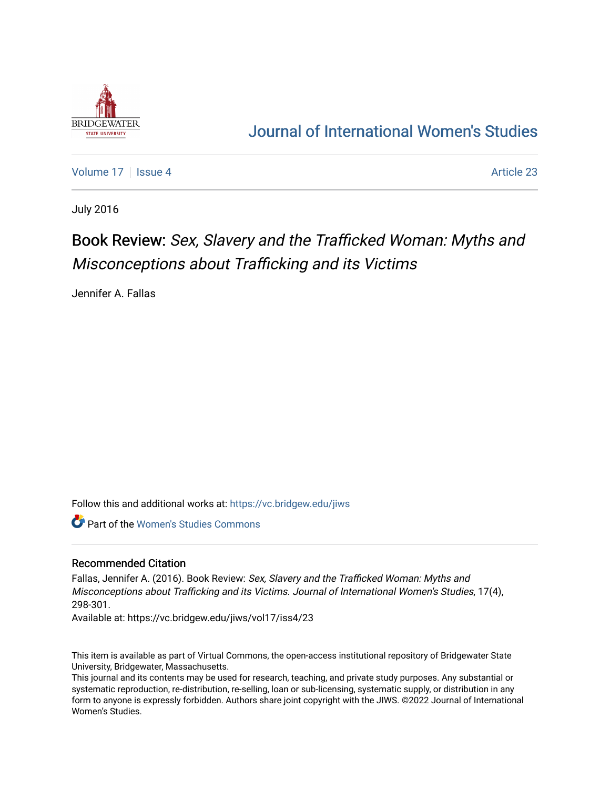

## [Journal of International Women's Studies](https://vc.bridgew.edu/jiws)

[Volume 17](https://vc.bridgew.edu/jiws/vol17) Setup 4 Article 23

July 2016

## Book Review: Sex, Slavery and the Trafficked Woman: Myths and Misconceptions about Trafficking and its Victims

Jennifer A. Fallas

Follow this and additional works at: [https://vc.bridgew.edu/jiws](https://vc.bridgew.edu/jiws?utm_source=vc.bridgew.edu%2Fjiws%2Fvol17%2Fiss4%2F23&utm_medium=PDF&utm_campaign=PDFCoverPages)

Part of the [Women's Studies Commons](http://network.bepress.com/hgg/discipline/561?utm_source=vc.bridgew.edu%2Fjiws%2Fvol17%2Fiss4%2F23&utm_medium=PDF&utm_campaign=PDFCoverPages) 

## Recommended Citation

Fallas, Jennifer A. (2016). Book Review: Sex, Slavery and the Trafficked Woman: Myths and Misconceptions about Trafficking and its Victims. Journal of International Women's Studies, 17(4), 298-301.

Available at: https://vc.bridgew.edu/jiws/vol17/iss4/23

This item is available as part of Virtual Commons, the open-access institutional repository of Bridgewater State University, Bridgewater, Massachusetts.

This journal and its contents may be used for research, teaching, and private study purposes. Any substantial or systematic reproduction, re-distribution, re-selling, loan or sub-licensing, systematic supply, or distribution in any form to anyone is expressly forbidden. Authors share joint copyright with the JIWS. ©2022 Journal of International Women's Studies.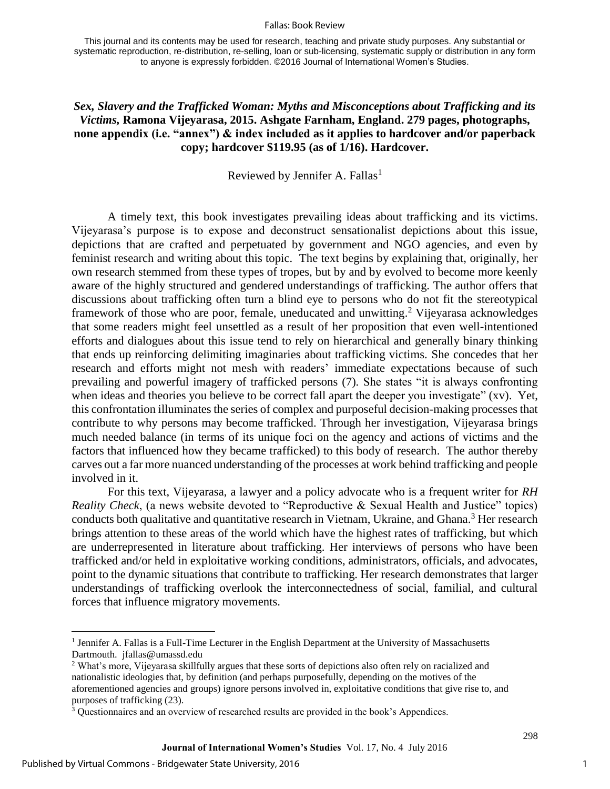## Fallas: Book Review

This journal and its contents may be used for research, teaching and private study purposes. Any substantial or systematic reproduction, re-distribution, re-selling, loan or sub-licensing, systematic supply or distribution in any form to anyone is expressly forbidden. ©2016 Journal of International Women's Studies.

*Sex, Slavery and the Trafficked Woman: Myths and Misconceptions about Trafficking and its Victims,* **Ramona Vijeyarasa, 2015. Ashgate Farnham, England. 279 pages, photographs, none appendix (i.e. "annex") & index included as it applies to hardcover and/or paperback copy; hardcover \$119.95 (as of 1/16). Hardcover.**

Reviewed by Jennifer A. Fallas<sup>1</sup>

A timely text, this book investigates prevailing ideas about trafficking and its victims. Vijeyarasa's purpose is to expose and deconstruct sensationalist depictions about this issue, depictions that are crafted and perpetuated by government and NGO agencies, and even by feminist research and writing about this topic. The text begins by explaining that, originally, her own research stemmed from these types of tropes, but by and by evolved to become more keenly aware of the highly structured and gendered understandings of trafficking. The author offers that discussions about trafficking often turn a blind eye to persons who do not fit the stereotypical framework of those who are poor, female, uneducated and unwitting.<sup>2</sup> Vijeyarasa acknowledges that some readers might feel unsettled as a result of her proposition that even well-intentioned efforts and dialogues about this issue tend to rely on hierarchical and generally binary thinking that ends up reinforcing delimiting imaginaries about trafficking victims. She concedes that her research and efforts might not mesh with readers' immediate expectations because of such prevailing and powerful imagery of trafficked persons (7). She states "it is always confronting when ideas and theories you believe to be correct fall apart the deeper you investigate" (xv). Yet, this confrontation illuminates the series of complex and purposeful decision-making processes that contribute to why persons may become trafficked. Through her investigation, Vijeyarasa brings much needed balance (in terms of its unique foci on the agency and actions of victims and the factors that influenced how they became trafficked) to this body of research. The author thereby carves out a far more nuanced understanding of the processes at work behind trafficking and people involved in it.

For this text, Vijeyarasa, a lawyer and a policy advocate who is a frequent writer for *RH Reality Check*, (a news website devoted to "Reproductive & Sexual Health and Justice" topics) conducts both qualitative and quantitative research in Vietnam, Ukraine, and Ghana.<sup>3</sup> Her research brings attention to these areas of the world which have the highest rates of trafficking, but which are underrepresented in literature about trafficking. Her interviews of persons who have been trafficked and/or held in exploitative working conditions, administrators, officials, and advocates, point to the dynamic situations that contribute to trafficking. Her research demonstrates that larger understandings of trafficking overlook the interconnectedness of social, familial, and cultural forces that influence migratory movements.

 $\overline{a}$ 

1

<sup>&</sup>lt;sup>1</sup> Jennifer A. Fallas is a Full-Time Lecturer in the English Department at the University of Massachusetts Dartmouth. jfallas@umassd.edu

<sup>2</sup> What's more, Vijeyarasa skillfully argues that these sorts of depictions also often rely on racialized and nationalistic ideologies that, by definition (and perhaps purposefully, depending on the motives of the aforementioned agencies and groups) ignore persons involved in, exploitative conditions that give rise to, and purposes of trafficking (23).

<sup>3</sup> Questionnaires and an overview of researched results are provided in the book's Appendices.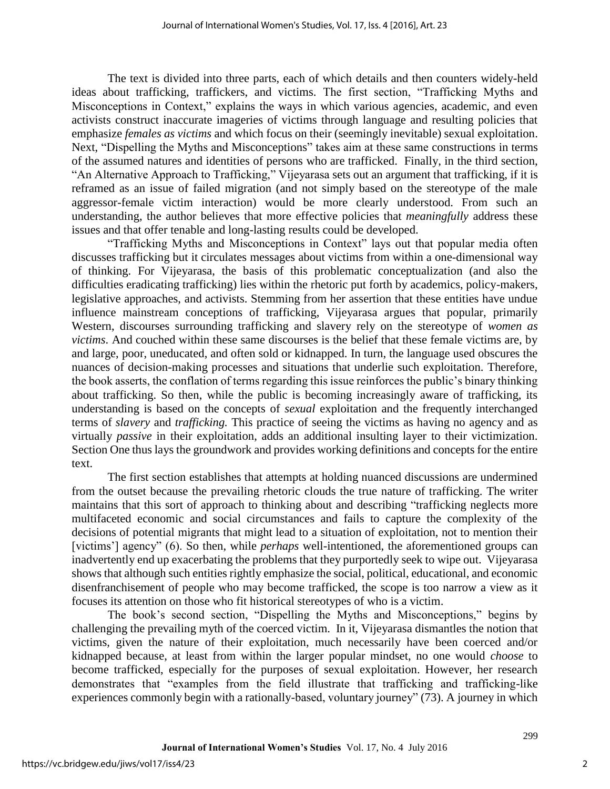The text is divided into three parts, each of which details and then counters widely-held ideas about trafficking, traffickers, and victims. The first section, "Trafficking Myths and Misconceptions in Context," explains the ways in which various agencies, academic, and even activists construct inaccurate imageries of victims through language and resulting policies that emphasize *females as victims* and which focus on their (seemingly inevitable) sexual exploitation. Next, "Dispelling the Myths and Misconceptions" takes aim at these same constructions in terms of the assumed natures and identities of persons who are trafficked. Finally, in the third section, "An Alternative Approach to Trafficking," Vijeyarasa sets out an argument that trafficking, if it is reframed as an issue of failed migration (and not simply based on the stereotype of the male aggressor-female victim interaction) would be more clearly understood. From such an understanding, the author believes that more effective policies that *meaningfully* address these issues and that offer tenable and long-lasting results could be developed.

"Trafficking Myths and Misconceptions in Context" lays out that popular media often discusses trafficking but it circulates messages about victims from within a one-dimensional way of thinking. For Vijeyarasa, the basis of this problematic conceptualization (and also the difficulties eradicating trafficking) lies within the rhetoric put forth by academics, policy-makers, legislative approaches, and activists. Stemming from her assertion that these entities have undue influence mainstream conceptions of trafficking, Vijeyarasa argues that popular, primarily Western, discourses surrounding trafficking and slavery rely on the stereotype of *women as victims*. And couched within these same discourses is the belief that these female victims are, by and large, poor, uneducated, and often sold or kidnapped. In turn, the language used obscures the nuances of decision-making processes and situations that underlie such exploitation. Therefore, the book asserts, the conflation of terms regarding this issue reinforces the public's binary thinking about trafficking. So then, while the public is becoming increasingly aware of trafficking, its understanding is based on the concepts of *sexual* exploitation and the frequently interchanged terms of *slavery* and *trafficking.* This practice of seeing the victims as having no agency and as virtually *passive* in their exploitation, adds an additional insulting layer to their victimization. Section One thus lays the groundwork and provides working definitions and concepts for the entire text.

The first section establishes that attempts at holding nuanced discussions are undermined from the outset because the prevailing rhetoric clouds the true nature of trafficking. The writer maintains that this sort of approach to thinking about and describing "trafficking neglects more multifaceted economic and social circumstances and fails to capture the complexity of the decisions of potential migrants that might lead to a situation of exploitation, not to mention their [victims'] agency" (6). So then, while *perhaps* well-intentioned, the aforementioned groups can inadvertently end up exacerbating the problems that they purportedly seek to wipe out. Vijeyarasa shows that although such entities rightly emphasize the social, political, educational, and economic disenfranchisement of people who may become trafficked, the scope is too narrow a view as it focuses its attention on those who fit historical stereotypes of who is a victim.

The book's second section, "Dispelling the Myths and Misconceptions," begins by challenging the prevailing myth of the coerced victim. In it, Vijeyarasa dismantles the notion that victims, given the nature of their exploitation, much necessarily have been coerced and/or kidnapped because, at least from within the larger popular mindset, no one would *choose* to become trafficked, especially for the purposes of sexual exploitation. However, her research demonstrates that "examples from the field illustrate that trafficking and trafficking-like experiences commonly begin with a rationally-based, voluntary journey" (73). A journey in which

299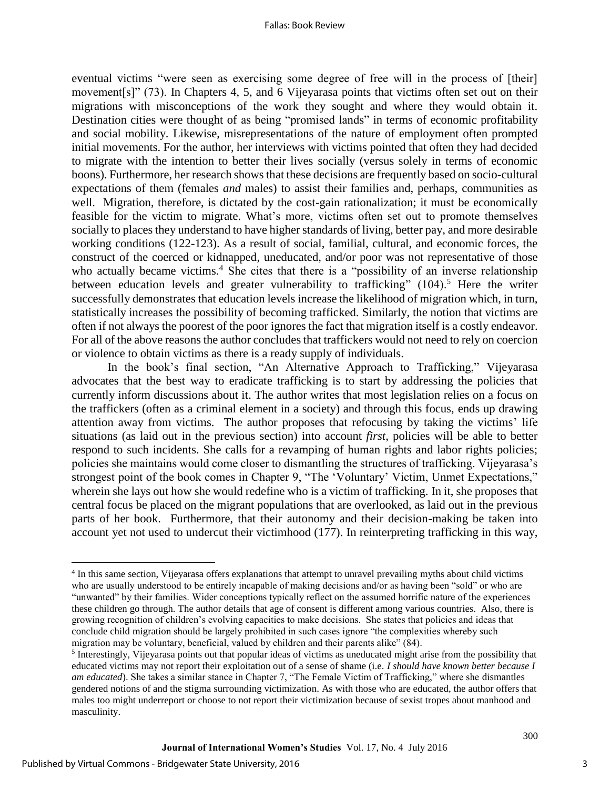eventual victims "were seen as exercising some degree of free will in the process of [their] movement[s]" (73). In Chapters 4, 5, and 6 Vijeyarasa points that victims often set out on their migrations with misconceptions of the work they sought and where they would obtain it. Destination cities were thought of as being "promised lands" in terms of economic profitability and social mobility. Likewise, misrepresentations of the nature of employment often prompted initial movements. For the author, her interviews with victims pointed that often they had decided to migrate with the intention to better their lives socially (versus solely in terms of economic boons). Furthermore, her research shows that these decisions are frequently based on socio-cultural expectations of them (females *and* males) to assist their families and, perhaps, communities as well. Migration, therefore, is dictated by the cost-gain rationalization; it must be economically feasible for the victim to migrate. What's more, victims often set out to promote themselves socially to places they understand to have higher standards of living, better pay, and more desirable working conditions (122-123). As a result of social, familial, cultural, and economic forces, the construct of the coerced or kidnapped, uneducated, and/or poor was not representative of those who actually became victims.<sup>4</sup> She cites that there is a "possibility of an inverse relationship between education levels and greater vulnerability to trafficking" (104).<sup>5</sup> Here the writer successfully demonstrates that education levels increase the likelihood of migration which, in turn, statistically increases the possibility of becoming trafficked. Similarly, the notion that victims are often if not always the poorest of the poor ignores the fact that migration itself is a costly endeavor. For all of the above reasons the author concludes that traffickers would not need to rely on coercion or violence to obtain victims as there is a ready supply of individuals.

In the book's final section, "An Alternative Approach to Trafficking," Vijeyarasa advocates that the best way to eradicate trafficking is to start by addressing the policies that currently inform discussions about it. The author writes that most legislation relies on a focus on the traffickers (often as a criminal element in a society) and through this focus, ends up drawing attention away from victims. The author proposes that refocusing by taking the victims' life situations (as laid out in the previous section) into account *first*, policies will be able to better respond to such incidents. She calls for a revamping of human rights and labor rights policies; policies she maintains would come closer to dismantling the structures of trafficking. Vijeyarasa's strongest point of the book comes in Chapter 9, "The 'Voluntary' Victim, Unmet Expectations," wherein she lays out how she would redefine who is a victim of trafficking. In it, she proposes that central focus be placed on the migrant populations that are overlooked, as laid out in the previous parts of her book. Furthermore, that their autonomy and their decision-making be taken into account yet not used to undercut their victimhood (177). In reinterpreting trafficking in this way,

 $\overline{a}$ 

<sup>&</sup>lt;sup>4</sup> In this same section, Vijeyarasa offers explanations that attempt to unravel prevailing myths about child victims who are usually understood to be entirely incapable of making decisions and/or as having been "sold" or who are "unwanted" by their families. Wider conceptions typically reflect on the assumed horrific nature of the experiences these children go through. The author details that age of consent is different among various countries. Also, there is growing recognition of children's evolving capacities to make decisions. She states that policies and ideas that conclude child migration should be largely prohibited in such cases ignore "the complexities whereby such migration may be voluntary, beneficial, valued by children and their parents alike" (84).

<sup>&</sup>lt;sup>5</sup> Interestingly, Vijeyarasa points out that popular ideas of victims as uneducated might arise from the possibility that educated victims may not report their exploitation out of a sense of shame (i.e. *I should have known better because I am educated*). She takes a similar stance in Chapter 7, "The Female Victim of Trafficking," where she dismantles gendered notions of and the stigma surrounding victimization. As with those who are educated, the author offers that males too might underreport or choose to not report their victimization because of sexist tropes about manhood and masculinity.